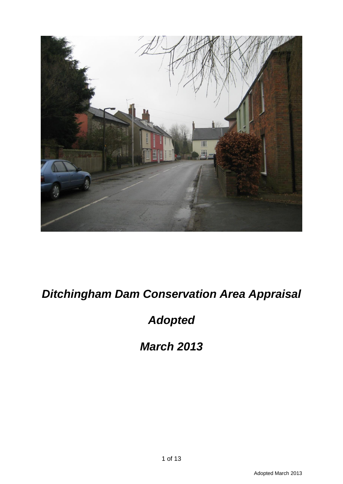

# *Ditchingham Dam Conservation Area Appraisal*

# *Adopted*

*March 2013*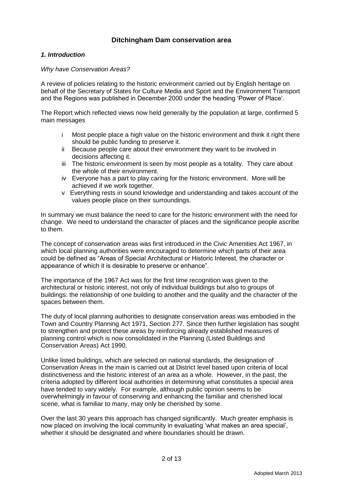# **Ditchingham Dam conservation area**

# *1. Introduction*

*Why have Conservation Areas?*

A review of policies relating to the historic environment carried out by English heritage on behalf of the Secretary of States for Culture Media and Sport and the Environment Transport and the Regions was published in December 2000 under the heading 'Power of Place'.

The Report which reflected views now held generally by the population at large, confirmed 5 main messages

- i Most people place a high value on the historic environment and think it right there should be public funding to preserve it.
- ii Because people care about their environment they want to be involved in decisions affecting it.
- iii The historic environment is seen by most people as a totality. They care about the whole of their environment.
- iv Everyone has a part to play caring for the historic environment. More will be achieved if we work together.
- v Everything rests in sound knowledge and understanding and takes account of the values people place on their surroundings.

In summary we must balance the need to care for the historic environment with the need for change. We need to understand the character of places and the significance people ascribe to them.

The concept of conservation areas was first introduced in the Civic Amenities Act 1967, in which local planning authorities were encouraged to determine which parts of their area could be defined as "Areas of Special Architectural or Historic Interest, the character or appearance of which it is desirable to preserve or enhance".

The importance of the 1967 Act was for the first time recognition was given to the architectural or historic interest, not only of individual buildings but also to groups of buildings: the relationship of one building to another and the quality and the character of the spaces between them.

The duty of local planning authorities to designate conservation areas was embodied in the Town and Country Planning Act 1971, Section 277. Since then further legislation has sought to strengthen and protect these areas by reinforcing already established measures of planning control which is now consolidated in the Planning (Listed Buildings and Conservation Areas) Act 1990.

Unlike listed buildings, which are selected on national standards, the designation of Conservation Areas in the main is carried out at District level based upon criteria of local distinctiveness and the historic interest of an area as a whole. However, in the past, the criteria adopted by different local authorities in determining what constitutes a special area have tended to vary widely. For example, although public opinion seems to be overwhelmingly in favour of conserving and enhancing the familiar and cherished local scene, what is familiar to many, may only be cherished by some.

Over the last 30 years this approach has changed significantly. Much greater emphasis is now placed on involving the local community in evaluating 'what makes an area special', whether it should be designated and where boundaries should be drawn.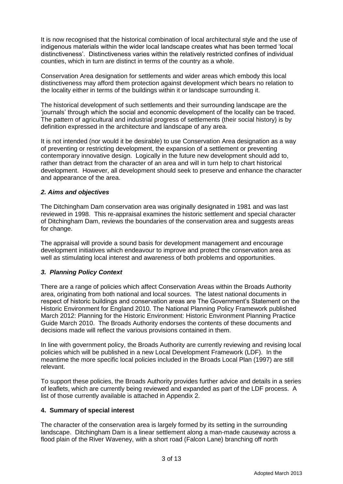It is now recognised that the historical combination of local architectural style and the use of indigenous materials within the wider local landscape creates what has been termed 'local distinctiveness'. Distinctiveness varies within the relatively restricted confines of individual counties, which in turn are distinct in terms of the country as a whole.

Conservation Area designation for settlements and wider areas which embody this local distinctiveness may afford them protection against development which bears no relation to the locality either in terms of the buildings within it or landscape surrounding it.

The historical development of such settlements and their surrounding landscape are the 'journals' through which the social and economic development of the locality can be traced. The pattern of agricultural and industrial progress of settlements (their social history) is by definition expressed in the architecture and landscape of any area.

It is not intended (nor would it be desirable) to use Conservation Area designation as a way of preventing or restricting development, the expansion of a settlement or preventing contemporary innovative design. Logically in the future new development should add to, rather than detract from the character of an area and will in turn help to chart historical development. However, all development should seek to preserve and enhance the character and appearance of the area.

# *2. Aims and objectives*

The Ditchingham Dam conservation area was originally designated in 1981 and was last reviewed in 1998. This re-appraisal examines the historic settlement and special character of Ditchingham Dam, reviews the boundaries of the conservation area and suggests areas for change.

The appraisal will provide a sound basis for development management and encourage development initiatives which endeavour to improve and protect the conservation area as well as stimulating local interest and awareness of both problems and opportunities.

# *3. Planning Policy Context*

There are a range of policies which affect Conservation Areas within the Broads Authority area, originating from both national and local sources. The latest national documents in respect of historic buildings and conservation areas are The Government's Statement on the Historic Environment for England 2010. The National Planning Policy Framework published March 2012: Planning for the Historic Environment: Historic Environment Planning Practice Guide March 2010. The Broads Authority endorses the contents of these documents and decisions made will reflect the various provisions contained in them.

In line with government policy, the Broads Authority are currently reviewing and revising local policies which will be published in a new Local Development Framework (LDF). In the meantime the more specific local policies included in the Broads Local Plan (1997) are still relevant.

To support these policies, the Broads Authority provides further advice and details in a series of leaflets, which are currently being reviewed and expanded as part of the LDF process. A list of those currently available is attached in Appendix 2.

### **4. Summary of special interest**

The character of the conservation area is largely formed by its setting in the surrounding landscape. Ditchingham Dam is a linear settlement along a man-made causeway across a flood plain of the River Waveney, with a short road (Falcon Lane) branching off north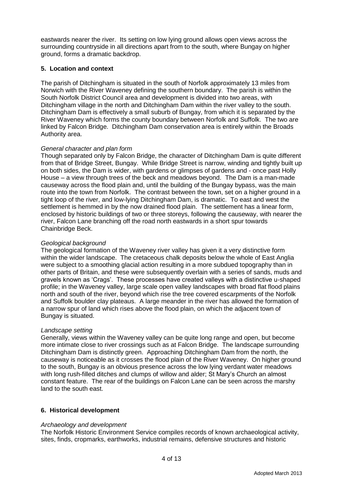eastwards nearer the river. Its setting on low lying ground allows open views across the surrounding countryside in all directions apart from to the south, where Bungay on higher ground, forms a dramatic backdrop.

# **5. Location and context**

The parish of Ditchingham is situated in the south of Norfolk approximately 13 miles from Norwich with the River Waveney defining the southern boundary. The parish is within the South Norfolk District Council area and development is divided into two areas, with Ditchingham village in the north and Ditchingham Dam within the river valley to the south. Ditchingham Dam is effectively a small suburb of Bungay, from which it is separated by the River Waveney which forms the county boundary between Norfolk and Suffolk. The two are linked by Falcon Bridge. Ditchingham Dam conservation area is entirely within the Broads Authority area.

### *General character and plan form*

Though separated only by Falcon Bridge, the character of Ditchingham Dam is quite different from that of Bridge Street, Bungay. While Bridge Street is narrow, winding and tightly built up on both sides, the Dam is wider, with gardens or glimpses of gardens and - once past Holly House – a view through trees of the beck and meadows beyond. The Dam is a man-made causeway across the flood plain and, until the building of the Bungay bypass, was the main route into the town from Norfolk. The contrast between the town, set on a higher ground in a tight loop of the river, and low-lying Ditchingham Dam, is dramatic. To east and west the settlement is hemmed in by the now drained flood plain. The settlement has a linear form, enclosed by historic buildings of two or three storeys, following the causeway, with nearer the river, Falcon Lane branching off the road north eastwards in a short spur towards Chainbridge Beck.

### *Geological background*

The geological formation of the Waveney river valley has given it a very distinctive form within the wider landscape. The cretaceous chalk deposits below the whole of East Anglia were subject to a smoothing glacial action resulting in a more subdued topography than in other parts of Britain, and these were subsequently overlain with a series of sands, muds and gravels known as 'Crags'. These processes have created valleys with a distinctive u-shaped profile; in the Waveney valley, large scale open valley landscapes with broad flat flood plains north and south of the river, beyond which rise the tree covered escarpments of the Norfolk and Suffolk boulder clay plateaus. A large meander in the river has allowed the formation of a narrow spur of land which rises above the flood plain, on which the adjacent town of Bungay is situated.

### *Landscape setting*

Generally, views within the Waveney valley can be quite long range and open, but become more intimate close to river crossings such as at Falcon Bridge. The landscape surrounding Ditchingham Dam is distinctly green. Approaching Ditchingham Dam from the north, the causeway is noticeable as it crosses the flood plain of the River Waveney. On higher ground to the south, Bungay is an obvious presence across the low lying verdant water meadows with long rush-filled ditches and clumps of willow and alder; St Mary's Church an almost constant feature. The rear of the buildings on Falcon Lane can be seen across the marshy land to the south east.

# **6. Historical development**

### *Archaeology and development*

The Norfolk Historic Environment Service compiles records of known archaeological activity, sites, finds, cropmarks, earthworks, industrial remains, defensive structures and historic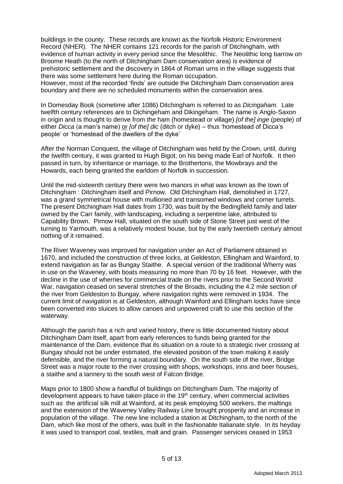buildings in the county. These records are known as the Norfolk Historic Environment Record (NHER). The NHER contains 121 records for the parish of Ditchingham, with evidence of human activity in every period since the Mesolithic. The Neolithic long barrow on Broome Heath (to the north of Ditchingham Dam conservation area) is evidence of prehistoric settlement and the discovery in 1864 of Roman urns in the village suggests that there was some settlement here during the Roman occupation.

However, most of the recorded 'finds' are outside the Ditchingham Dam conservation area boundary and there are no scheduled monuments within the conservation area.

In Domesday Book (sometime after 1086) Ditchingham is referred to as *Dicingaham.* Late twelfth century references are to Dichingeham and Dikingeham. The name is Anglo-Saxon in origin and is thought to derive from *the* ham (homestead or village) *[of the] inge* (people) of either *Dicca* (a man's name) or *[of the] dic* (ditch or dyke) – thus 'homestead of Dicca's people' or 'homestead of the dwellers of the dyke'

After the Norman Conquest, the village of Ditchingham was held by the Crown, until, during the twelfth century, it was granted to Hugh Bigot, on his being made Earl of Norfolk. It then passed in turn, by inheritance or marriage, to the Brothertons, the Mowbrays and the Howards, each being granted the earldom of Norfolk in succession.

Until the mid-sixteenth century there were two manors in what was known as the town of Ditchingham : Ditchingham itself and Pirnow. Old Ditchingham Hall, demolished in 1727, was a grand symmetrical house with mullioned and transomed windows and corner turrets. The present Ditchingham Hall dates from 1730, was built by the Bedingfield family and later owned by the Carr family, with landscaping, including a serpentine lake, attributed to Capability Brown. Pirnow Hall, situated on the south side of Stone Street just west of the turning to Yarmouth, was a relatively modest house, but by the early twentieth century almost nothing of it remained.

The River Waveney was improved for navigation under an Act of Parliament obtained in 1670, and included the construction of three locks, at Geldeston, Ellingham and Wainford, to extend navigation as far as Bungay Staithe. A special version of the traditional Wherry was in use on the Waveney, with boats measuring no more than 70 by 16 feet. However, with the decline in the use of wherries for commercial trade on the rivers prior to the Second World War, navigation ceased on several stretches of the Broads, including the 4.2 mile section of the river from Geldeston to Bungay, where navigation rights were removed in 1934. The current limit of navigation is at Geldeston, although Wainford and Ellingham locks have since been converted into sluices to allow canoes and unpowered craft to use this section of the waterway.

Although the parish has a rich and varied history, there is little documented history about Ditchingham Dam itself, apart from early references to funds being granted for the maintenance of the Dam, evidence that its situation on a route to a strategic river crossing at Bungay should not be under estimated, the elevated position of the town making it easily defensible, and the river forming a natural boundary. On the south side of the river, Bridge Street was a major route to the river crossing with shops, workshops, inns and beer houses, a staithe and a tannery to the south west of Falcon Bridge.

Maps prior to 1800 show a handful of buildings on Ditchingham Dam. The majority of development appears to have taken place in the  $19<sup>th</sup>$  century, when commercial activities such as the artificial silk mill at Wainford, at its peak employing 500 workers, the maltings and the extension of the Waveney Valley Railway Line brought prosperity and an increase in population of the village. The new line included a station at Ditchingham, to the north of the Dam, which like most of the others, was built in the fashionable Italianate style. In its heyday it was used to transport coal, textiles, malt and grain. Passenger services ceased in 1953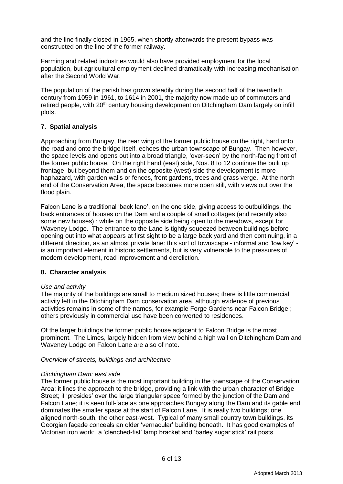and the line finally closed in 1965, when shortly afterwards the present bypass was constructed on the line of the former railway.

Farming and related industries would also have provided employment for the local population, but agricultural employment declined dramatically with increasing mechanisation after the Second World War.

The population of the parish has grown steadily during the second half of the twentieth century from 1059 in 1961, to 1614 in 2001, the majority now made up of commuters and retired people, with 20<sup>th</sup> century housing development on Ditchingham Dam largely on infill plots.

# **7. Spatial analysis**

Approaching from Bungay, the rear wing of the former public house on the right, hard onto the road and onto the bridge itself, echoes the urban townscape of Bungay. Then however, the space levels and opens out into a broad triangle, 'over-seen' by the north-facing front of the former public house. On the right hand (east) side, Nos. 8 to 12 continue the built up frontage, but beyond them and on the opposite (west) side the development is more haphazard, with garden walls or fences, front gardens, trees and grass verge. At the north end of the Conservation Area, the space becomes more open still, with views out over the flood plain.

Falcon Lane is a traditional 'back lane', on the one side, giving access to outbuildings, the back entrances of houses on the Dam and a couple of small cottages (and recently also some new houses) : while on the opposite side being open to the meadows, except for Waveney Lodge. The entrance to the Lane is tightly squeezed between buildings before opening out into what appears at first sight to be a large back yard and then continuing, in a different direction, as an almost private lane: this sort of townscape - informal and 'low key' is an important element in historic settlements, but is very vulnerable to the pressures of modern development, road improvement and dereliction.

### **8. Character analysis**

### *Use and activity*

The majority of the buildings are small to medium sized houses; there is little commercial activity left in the Ditchingham Dam conservation area, although evidence of previous activities remains in some of the names, for example Forge Gardens near Falcon Bridge ; others previously in commercial use have been converted to residences.

Of the larger buildings the former public house adjacent to Falcon Bridge is the most prominent. The Limes, largely hidden from view behind a high wall on Ditchingham Dam and Waveney Lodge on Falcon Lane are also of note.

### *Overview of streets, buildings and architecture*

### *Ditchingham Dam: east side*

The former public house is the most important building in the townscape of the Conservation Area: it lines the approach to the bridge, providing a link with the urban character of Bridge Street; it 'presides' over the large triangular space formed by the junction of the Dam and Falcon Lane; it is seen full-face as one approaches Bungay along the Dam and its gable end dominates the smaller space at the start of Falcon Lane. It is really two buildings; one aligned north-south, the other east-west. Typical of many small country town buildings, its Georgian façade conceals an older 'vernacular' building beneath. It has good examples of Victorian iron work: a 'clenched-fist' lamp bracket and 'barley sugar stick' rail posts.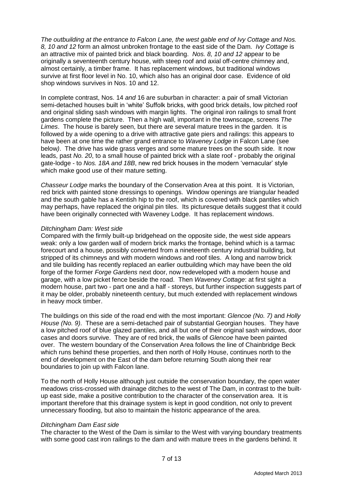*The outbuilding at the entrance to Falcon Lane, the west gable end of Ivy Cottage and Nos. 8, 10 and 12* form an almost unbroken frontage to the east side of the Dam. *Ivy Cottage* is an attractive mix of painted brick and black boarding. *Nos. 8, 10 and 12* appear to be originally a seventeenth century house, with steep roof and axial off-centre chimney and, almost certainly, a timber frame. It has replacement windows, but traditional windows survive at first floor level in No. 10, which also has an original door case. Evidence of old shop windows survives in Nos. 10 and 12.

In complete contrast, Nos. 14 *and* 16 are suburban in character: a pair of small Victorian semi-detached houses built in 'white' Suffolk bricks, with good brick details, low pitched roof and original sliding sash windows with margin lights. The original iron railings to small front gardens complete the picture. Then a high wall, important in the townscape, screens *The Limes*. The house is barely seen, but there are several mature trees in the garden. It is followed by a wide opening to a drive with attractive gate piers and railings: this appears to have been at one time the rather grand entrance to *Waveney Lodge* in Falcon Lane (see below*)*. The drive has wide grass verges and some mature trees on the south side. It now leads, past *No. 20*, to a small house of painted brick with a slate roof - probably the original gate-lodge - to *Nos. 18A and 18B*, new red brick houses in the modern 'vernacular' style which make good use of their mature setting.

*Chasseur Lodge* marks the boundary of the Conservation Area at this point. It is Victorian, red brick with painted stone dressings to openings. Window openings are triangular headed and the south gable has a Kentish hip to the roof, which is covered with black pantiles which may perhaps, have replaced the original pin tiles. Its picturesque details suggest that it could have been originally connected with Waveney Lodge. It has replacement windows.

### *Ditchingham Dam: West side*

Compared with the firmly built-up bridgehead on the opposite side, the west side appears weak: only a low garden wall of modern brick marks the frontage, behind which is a tarmac forecourt and a house, possibly converted from a nineteenth century industrial building, but stripped of its chimneys and with modern windows and roof tiles. A long and narrow brick and tile building has recently replaced an earlier outbuilding which may have been the old forge of the former *Forge Gardens* next door, now redeveloped with a modern house and garage, with a low picket fence beside the road. Then *Waveney Cottage*: at first sight a modern house, part two - part one and a half - storeys, but further inspection suggests part of it may be older, probably nineteenth century, but much extended with replacement windows in heavy mock timber.

The buildings on this side of the road end with the most important: *Glencoe (No. 7)* and *Holly House (No. 9)*. These are a semi-detached pair of substantial Georgian houses. They have a low pitched roof of blue glazed pantiles, and all but one of their original sash windows, door cases and doors survive. They are of red brick, the walls of *Glencoe* have been painted over. The western boundary of the Conservation Area follows the line of Chainbridge Beck which runs behind these properties, and then north of Holly House, continues north to the end of development on the East of the dam before returning South along their rear boundaries to join up with Falcon lane.

To the north of Holly House although just outside the conservation boundary, the open water meadows criss-crossed with drainage ditches to the west of The Dam, in contrast to the builtup east side, make a positive contribution to the character of the conservation area. It is important therefore that this drainage system is kept in good condition, not only to prevent unnecessary flooding, but also to maintain the historic appearance of the area.

### *Ditchingham Dam East side*

The character to the West of the Dam is similar to the West with varying boundary treatments with some good cast iron railings to the dam and with mature trees in the gardens behind. It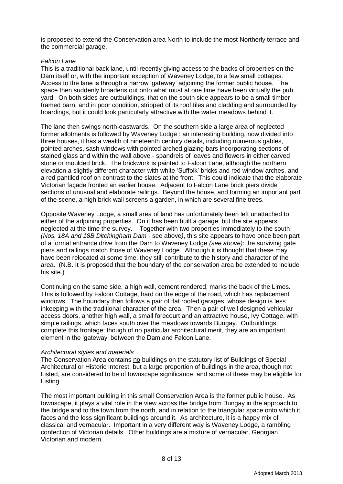is proposed to extend the Conservation area North to include the most Northerly terrace and the commercial garage.

### *Falcon Lane*

This is a traditional back lane, until recently giving access to the backs of properties on the Dam itself or, with the important exception of Waveney Lodge, to a few small cottages. Access to the lane is through a narrow 'gateway' adjoining the former public house. The space then suddenly broadens out onto what must at one time have been virtually the pub yard. On both sides are outbuildings, that on the south side appears to be a small timber framed barn, and in poor condition, stripped of its roof tiles and cladding and surrounded by hoardings, but it could look particularly attractive with the water meadows behind it.

The lane then swings north-eastwards. On the southern side a large area of neglected former allotments is followed by Waveney Lodge : an interesting building, now divided into three houses, it has a wealth of nineteenth century details, including numerous gables, pointed arches, sash windows with pointed arched glazing bars incorporating sections of stained glass and within the wall above - spandrels of leaves and flowers in either carved stone or moulded brick. The brickwork is painted to Falcon Lane, although the northern elevation a slightly different character with white 'Suffolk' bricks and red window arches, and a red pantiled roof on contrast to the slates at the front. This could indicate that the elaborate Victorian façade fronted an earlier house. Adjacent to Falcon Lane brick piers divide sections of unusual and elaborate railings. Beyond the house, and forming an important part of the scene, a high brick wall screens a garden, in which are several fine trees.

Opposite Waveney Lodge, a small area of land has unfortunately been left unattached to either of the adjoining properties. On it has been built a garage, but the site appears neglected at the time the survey. Together with two properties immediately to the south *(Nos. 18A and 18B Ditchingham Dam -* see above*)*, this site appears to have once been part of a formal entrance drive from the Dam to Waveney Lodge *(see above)*: the surviving gate piers and railings match those of Waveney Lodge. Although it is thought that these may have been relocated at some time, they still contribute to the history and character of the area. (N.B. It is proposed that the boundary of the conservation area be extended to include his site.)

Continuing on the same side, a high wall, cement rendered, marks the back of the Limes. This is followed by Falcon Cottage, hard on the edge of the road, which has replacement windows . The boundary then follows a pair of flat roofed garages, whose design is less inkeeping with the traditional character of the area. Then a pair of well designed vehicular access doors, another high wall, a small forecourt and an attractive house, Ivy Cottage, with simple railings, which faces south over the meadows towards Bungay. Outbuildings complete this frontage: though of no particular architectural merit, they are an important element in the 'gateway' between the Dam and Falcon Lane.

### *Architectural styles and materials*

The Conservation Area contains no buildings on the statutory list of Buildings of Special Architectural or Historic Interest, but a large proportion of buildings in the area, though not Listed, are considered to be of townscape significance, and some of these may be eligible for Listing.

The most important building in this small Conservation Area is the former public house. As townscape, it plays a vital role in the view across the bridge from Bungay in the approach to the bridge and to the town from the north, and in relation to the triangular space onto which it faces and the less significant buildings around it. As architecture, it is a happy mix of classical and vernacular. Important in a very different way is Waveney Lodge, a rambling confection of Victorian details. Other buildings are a mixture of vernacular, Georgian, Victorian and modern.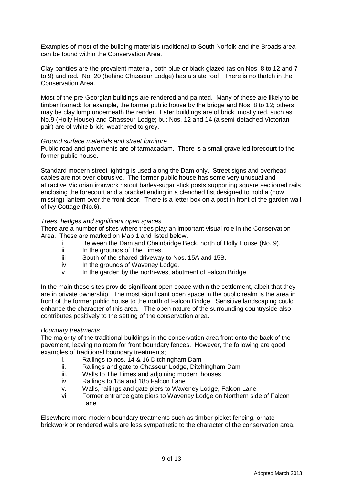Examples of most of the building materials traditional to South Norfolk and the Broads area can be found within the Conservation Area.

Clay pantiles are the prevalent material, both blue or black glazed (as on Nos. 8 to 12 and 7 to 9) and red. No. 20 (behind Chasseur Lodge) has a slate roof. There is no thatch in the Conservation Area.

Most of the pre-Georgian buildings are rendered and painted. Many of these are likely to be timber framed: for example, the former public house by the bridge and Nos. 8 to 12; others may be clay lump underneath the render. Later buildings are of brick: mostly red, such as No.9 (Holly House) and Chasseur Lodge; but Nos. 12 and 14 (a semi-detached Victorian pair) are of white brick, weathered to grey.

### *Ground surface materials and street furniture*

Public road and pavements are of tarmacadam. There is a small gravelled forecourt to the former public house.

Standard modern street lighting is used along the Dam only. Street signs and overhead cables are not over-obtrusive. The former public house has some very unusual and attractive Victorian ironwork : stout barley-sugar stick posts supporting square sectioned rails enclosing the forecourt and a bracket ending in a clenched fist designed to hold a (now missing) lantern over the front door. There is a letter box on a post in front of the garden wall of Ivy Cottage (No.6).

### *Trees, hedges and significant open spaces*

There are a number of sites where trees play an important visual role in the Conservation Area. These are marked on Map 1 and listed below.

- i Between the Dam and Chainbridge Beck, north of Holly House (No. 9).
- ii In the grounds of The Limes.
- iii South of the shared driveway to Nos. 15A and 15B.
- iv In the grounds of Waveney Lodge.
- v In the garden by the north-west abutment of Falcon Bridge.

In the main these sites provide significant open space within the settlement, albeit that they are in private ownership. The most significant open space in the public realm is the area in front of the former public house to the north of Falcon Bridge. Sensitive landscaping could enhance the character of this area. The open nature of the surrounding countryside also contributes positively to the setting of the conservation area.

### *Boundary treatments*

The majority of the traditional buildings in the conservation area front onto the back of the pavement, leaving no room for front boundary fences. However, the following are good examples of traditional boundary treatments;

- i. Railings to nos. 14 & 16 Ditchingham Dam
- ii. Railings and gate to Chasseur Lodge, Ditchingham Dam
- iii. Walls to The Limes and adjoining modern houses
- iv. Railings to 18a and 18b Falcon Lane
- v. Walls, railings and gate piers to Waveney Lodge, Falcon Lane
- vi. Former entrance gate piers to Waveney Lodge on Northern side of Falcon Lane

Elsewhere more modern boundary treatments such as timber picket fencing, ornate brickwork or rendered walls are less sympathetic to the character of the conservation area.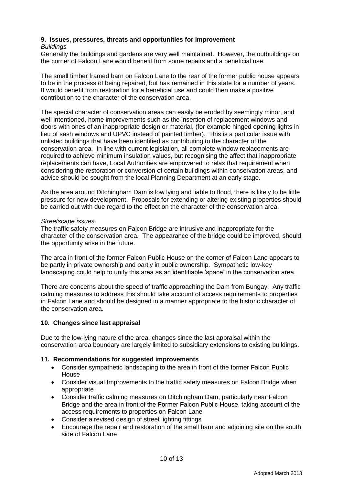# **9. Issues, pressures, threats and opportunities for improvement**

### *Buildings*

Generally the buildings and gardens are very well maintained. However, the outbuildings on the corner of Falcon Lane would benefit from some repairs and a beneficial use.

The small timber framed barn on Falcon Lane to the rear of the former public house appears to be in the process of being repaired, but has remained in this state for a number of years. It would benefit from restoration for a beneficial use and could then make a positive contribution to the character of the conservation area.

The special character of conservation areas can easily be eroded by seemingly minor, and well intentioned, home improvements such as the insertion of replacement windows and doors with ones of an inappropriate design or material, (for example hinged opening lights in lieu of sash windows and UPVC instead of painted timber). This is a particular issue with unlisted buildings that have been identified as contributing to the character of the conservation area. In line with current legislation, all complete window replacements are required to achieve minimum insulation values, but recognising the affect that inappropriate replacements can have, Local Authorities are empowered to relax that requirement when considering the restoration or conversion of certain buildings within conservation areas, and advice should be sought from the local Planning Department at an early stage.

As the area around Ditchingham Dam is low lying and liable to flood, there is likely to be little pressure for new development. Proposals for extending or altering existing properties should be carried out with due regard to the effect on the character of the conservation area.

### *Streetscape issues*

The traffic safety measures on Falcon Bridge are intrusive and inappropriate for the character of the conservation area. The appearance of the bridge could be improved, should the opportunity arise in the future.

The area in front of the former Falcon Public House on the corner of Falcon Lane appears to be partly in private ownership and partly in public ownership. Sympathetic low-key landscaping could help to unify this area as an identifiable 'space' in the conservation area.

There are concerns about the speed of traffic approaching the Dam from Bungay. Any traffic calming measures to address this should take account of access requirements to properties in Falcon Lane and should be designed in a manner appropriate to the historic character of the conservation area.

### **10. Changes since last appraisal**

Due to the low-lying nature of the area, changes since the last appraisal within the conservation area boundary are largely limited to subsidiary extensions to existing buildings.

### **11. Recommendations for suggested improvements**

- Consider sympathetic landscaping to the area in front of the former Falcon Public House
- Consider visual Improvements to the traffic safety measures on Falcon Bridge when appropriate
- Consider traffic calming measures on Ditchingham Dam, particularly near Falcon Bridge and the area in front of the Former Falcon Public House, taking account of the access requirements to properties on Falcon Lane
- Consider a revised design of street lighting fittings
- Encourage the repair and restoration of the small barn and adjoining site on the south side of Falcon Lane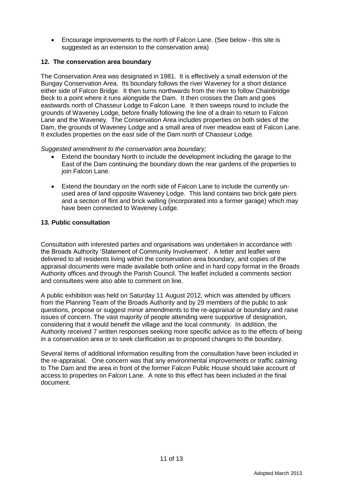Encourage improvements to the north of Falcon Lane. (See below - this site is suggested as an extension to the conservation area)

### **12. The conservation area boundary**

The Conservation Area was designated in 1981. It is effectively a small extension of the Bungay Conservation Area. Its boundary follows the river Waveney for a short distance either side of Falcon Bridge. It then turns northwards from the river to follow Chainbridge Beck to a point where it runs alongside the Dam. It then crosses the Dam and goes eastwards north of Chasseur Lodge to Falcon Lane. It then sweeps round to include the grounds of Waveney Lodge, before finally following the line of a drain to return to Falcon Lane and the Waveney. The Conservation Area includes properties on both sides of the Dam, the grounds of Waveney Lodge and a small area of river meadow east of Falcon Lane. It excludes properties on the east side of the Dam north of Chasseur Lodge.

### *Suggested amendment to the conservation area boundary;*

- Extend the boundary North to include the development including the garage to the East of the Dam continuing the boundary down the rear gardens of the properties to join Falcon Lane.
- Extend the boundary on the north side of Falcon Lane to include the currently unused area of land opposite Waveney Lodge. This land contains two brick gate piers and a section of flint and brick walling (incorporated into a former garage) which may have been connected to Waveney Lodge.

### **13. Public consultation**

Consultation with interested parties and organisations was undertaken in accordance with the Broads Authority 'Statement of Community Involvement'. A letter and leaflet were delivered to all residents living within the conservation area boundary, and copies of the appraisal documents were made available both online and in hard copy format in the Broads Authority offices and through the Parish Council. The leaflet included a comments section and consultees were also able to comment on line.

A public exhibition was held on Saturday 11 August 2012, which was attended by officers from the Planning Team of the Broads Authority and by 29 members of the public to ask questions, propose or suggest minor amendments to the re-appraisal or boundary and raise issues of concern. The vast majority of people attending were supportive of designation, considering that it would benefit the village and the local community. In addition, the Authority received 7 written responses seeking more specific advice as to the effects of being in a conservation area or to seek clarification as to proposed changes to the boundary.

Several items of additional information resulting from the consultation have been included in the re-appraisal. One concern was that any environmental improvements or traffic calming to The Dam and the area in front of the former Falcon Public House should take account of access to properties on Falcon Lane. A note to this effect has been included in the final document.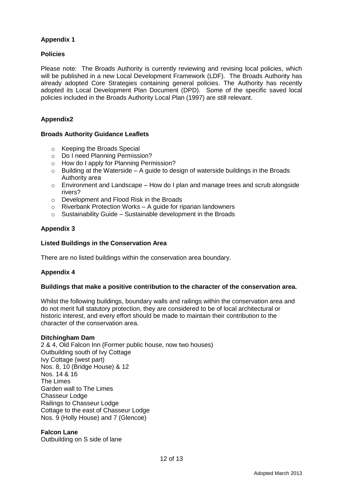# **Appendix 1**

# **Policies**

Please note: The Broads Authority is currently reviewing and revising local policies, which will be published in a new Local Development Framework (LDF). The Broads Authority has already adopted Core Strategies containing general policies. The Authority has recently adopted its Local Development Plan Document (DPD). Some of the specific saved local policies included in the Broads Authority Local Plan (1997) are still relevant.

# **Appendix2**

### **Broads Authority Guidance Leaflets**

- o Keeping the Broads Special
- o Do I need Planning Permission?
- o How do I apply for Planning Permission?
- $\circ$  Building at the Waterside A guide to design of waterside buildings in the Broads Authority area
- o Environment and Landscape How do I plan and manage trees and scrub alongside rivers?
- o Development and Flood Risk in the Broads
- $\circ$  Riverbank Protection Works A guide for riparian landowners
- $\circ$  Sustainability Guide Sustainable development in the Broads

# **Appendix 3**

### **Listed Buildings in the Conservation Area**

There are no listed buildings within the conservation area boundary.

### **Appendix 4**

### **Buildings that make a positive contribution to the character of the conservation area.**

Whilst the following buildings, boundary walls and railings within the conservation area and do not merit full statutory protection, they are considered to be of local architectural or historic interest, and every effort should be made to maintain their contribution to the character of the conservation area.

### **Ditchingham Dam**

2 & 4, Old Falcon Inn (Former public house, now two houses) Outbuilding south of Ivy Cottage Ivy Cottage (west part) Nos. 8, 10 (Bridge House) & 12 Nos. 14 & 16 The Limes Garden wall to The Limes Chasseur Lodge Railings to Chasseur Lodge Cottage to the east of Chasseur Lodge Nos. 9 (Holly House) and 7 (Glencoe)

### **Falcon Lane**

Outbuilding on S side of lane